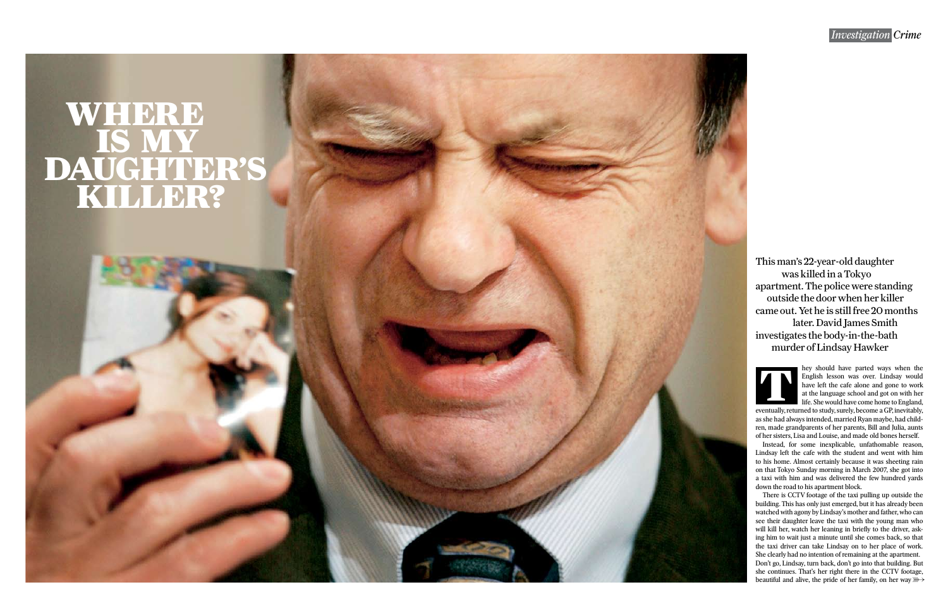## *Investigation Crime*

hey should have parted ways when the English lesson was over. Lindsay would have left the cafe alone and gone to work at the language school and got on with her life. She would have come home to England,

eventually, returned to study, surely, become a GP, inevitably, as she had always intended, married Ryan maybe, had children, made grandparents of her parents, Bill and Julia, aunts of her sisters, Lisa and Louise, and made old bones herself.

There is CCTV footage of the taxi pulling up outside the building. This has only just emerged, but it has already been watched with agony by Lindsay's mother and father, who can see their daughter leave the taxi with the young man who will kill her, watch her leaning in briefly to the driver, asking him to wait just a minute until she comes back, so that the taxi driver can take Lindsay on to her place of work. She clearly had no intention of remaining at the apartment. Don't go, Lindsay, turn back, don't go into that building. But she continues. That's her right there in the CCTV footage, beautiful and alive, the pride of her family, on her way  $\mathbb{R}$ 

Instead, for some inexplicable, unfathomable reason, Lindsay left the cafe with the student and went with him to his home. Almost certainly because it was sheeting rain on that Tokyo Sunday morning in March 2007, she got into a taxi with him and was delivered the few hundred yards down the road to his apartment block.

# WHERE IS MY DAUGHTER'S KILLER?



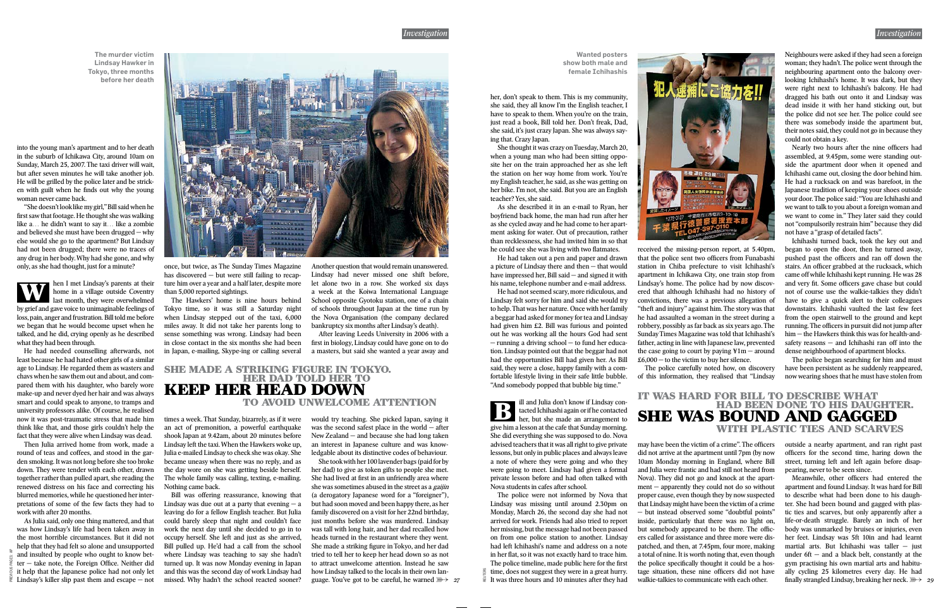#### *Investigation*

PREVIOUS PAGES: AP



into the young man's apartment and to her death in the suburb of Ichikawa City, around 10am on Sunday, March 25, 2007. The taxi driver will wait, but after seven minutes he will take another job. He will be grilled by the police later and be stricken with guilt when he finds out why the young woman never came back.

"She doesn't look like my girl," Bill said when he first saw that footage. He thought she was walking like a… he didn't want to say it… like a zombie and believed she must have been drugged — why else would she go to the apartment? But Lindsay had not been drugged; there were no traces of any drug in her body. Why had she gone, and why only, as she had thought, just for a minute?

As Julia said, only one thing mattered, and that was how Lindsay's life had been taken away in the most horrible circumstances. But it did not help that they had felt so alone and unsupported and insulted by people who ought to know bet $ter - take note, the Foreign Office. Neither did$ it help that the Japanese police had not only let  $\frac{1}{2}$  Lindsay's killer slip past them and escape – not

He had needed counselling afterwards, not least because he had hated other girls of a similar age to Lindsay. He regarded them as wasters and chavs when he saw them out and about, and compared them with his daughter, who barely wore make-up and never dyed her hair and was always smart and could speak to anyone, to tramps and university professors alike. Of course, he realised now it was post-traumatic stress that made him think like that, and those girls couldn't help the fact that they were alive when Lindsay was dead.

Then Julia arrived home from work, made a round of teas and coffees, and stood in the garden smoking. It was not long before she too broke down. They were tender with each other, drawn together rather than pulled apart, she reading the renewed distress on his face and correcting his blurred memories, while he questioned her interpretations of some of the few facts they had to work with after 20 months.

She took with her 100 lavender bags (paid for by her dad) to give as token gifts to people she met. She had lived at first in an unfriendly area where she was sometimes abused in the street as a gaijin (a derogatory Japanese word for a "foreigner"), but had soon moved and been happy there, as her family discovered on a visit for her 22nd birthday, just months before she was murdered. Lindsay was tall with long hair, and her dad recalled how heads turned in the restaurant where they went. She made a striking figure in Tokyo, and her dad tried to tell her to keep her head down so as not to attract unwelcome attention. Instead he saw how Lindsay talked to the locals in their own language. You've got to be careful, he warned *\\\\ 27* 

once, but twice, as The Sunday Times Magazine has discovered – but were still failing to recapture him over a year and a half later, despite more than 5,000 reported sightings.

The Hawkers' home is nine hours behind Tokyo time, so it was still a Saturday night when Lindsay stepped out of the taxi, 6,000 miles away. It did not take her parents long to sense something was wrong. Lindsay had been in close contact in the six months she had been in Japan, e-mailing, Skype-ing or calling several

As she described it in an e-mail to Ryan, her boyfriend back home, the man had run after her as she cycled away and he had come to her apartment asking for water. Out of precaution, rather than recklessness, she had invited him in so that he could see she was living with two flatmates.

times a week. That Sunday, bizarrely, as if it were an act of premonition, a powerful earthquake shook Japan at 9.42am, about 20 minutes before Lindsay left the taxi. When the Hawkers woke up, Julia e-mailed Lindsay to check she was okay. She became uneasy when there was no reply, and as the day wore on she was getting beside herself. The whole family was calling, texting, e-mailing. Nothing came back.

hen I met Lindsay's parents at their home in a village outside Coventry last month, they were overwhelmed by grief and gave voice to unimaginable feelings of loss, pain, anger and frustration. Bill told me before we began that he would become upset when he talked, and he did, crying openly as he described what they had been through. W

> Bill was offering reassurance, knowing that Lindsay was due out at a party that evening  $- a$ leaving do for a fellow English teacher. But Julia could barely sleep that night and couldn't face work the next day until she decided to go in to occupy herself. She left and just as she arrived, Bill pulled up. He'd had a call from the school where Lindsay was teaching to say she hadn't turned up. It was now Monday evening in Japan and this was the second day of work Lindsay had missed. Why hadn't the school reacted sooner?

The police were not informed by Nova that Lindsay was missing until around 2.30pm on Monday, March 26, the second day she had not arrived for work. Friends had also tried to report her missing, but the message had not been passed on from one police station to another. Lindsay had left Ichihashi's name and address on a note in her flat, so it was not exactly hard to trace him. The police timeline, made public here for the first time, does not suggest they were in a great hurry.  $\frac{25}{12}$  time, does not suggest they were in a great hurry.<br>
It was three hours and 10 minutes after they had

Another question that would remain unanswered. Lindsay had never missed one shift before, let alone two in a row. She worked six days a week at the Koiwa International Language School opposite Gyotoku station, one of a chain of schools throughout Japan at the time run by the Nova Organisation (the company declared bankruptcy six months after Lindsay's death).

received the missing-person report, at 5.40pm, that the police sent two officers from Funabashi station in Chiba prefecture to visit Ichihashi's apartment in Ichikawa City, one train stop from Lindsay's home. The police had by now discovered that although Ichihashi had no history of convictions, there was a previous allegation of "theft and injury" against him. The story was that he had assaulted a woman in the street during a robbery, possibly as far back as six years ago. The Sunday Times Magazine was told that Ichihashi's father, acting in line with Japanese law, prevented the case going to court by paying  $\frac{y}{m} -$  around  $£6,000 -$  to the victim to buy her silence.

After leaving Leeds University in 2006 with a first in biology, Lindsay could have gone on to do a masters, but said she wanted a year away and

would try teaching. She picked Japan, saying it was the second safest place in the world — after New Zealand — and because she had long taken an interest in Japanese culture and was knowledgable about its distinctive codes of behaviour.

may have been the victim of a crime". The officers did not arrive at the apartment until 7pm (by now 10am Monday morning in England, where Bill and Julia were frantic and had still not heard from Nova). They did not go and knock at the apartment — apparently they could not do so without proper cause, even though they by now suspected that Lindsay might have been the victim of a crime — but instead observed some "doubtful points" inside, particularly that there was no light on, but somebody appeared to be there. The officers called for assistance and three more were dispatched, and then, at 7.45pm, four more, making a total of nine. It is worth noting that, even though the police specifically thought it could be a hostage situation, these nine officers did not have walkie-talkies to communicate with each other.

#### SHE MADE A STRIKING FIGURE IN TOKYO. HER DAD TOLD HER TO KEEP HER HEAD DOWN TO AVOID UNWELCOME ATTENTION

Nearly two hours after the nine officers had assembled, at 9.45pm, some were standing outside the apartment door when it opened and Ichihashi came out, closing the door behind him. He had a rucksack on and was barefoot, in the Japanese tradition of keeping your shoes outside your door. The police said: "You are Ichihashi and we want to talk to you about a foreign woman and we want to come in." They later said they could not "compulsorily restrain him" because they did not have a "grasp of detailed facts".

**The murder victim Lindsay Hawker in Tokyo, three months before her death**

> her, don't speak to them. This is my community, she said, they all know I'm the English teacher, I have to speak to them. When you're on the train, just read a book, Bill told her. Don't freak, Dad, she said, it's just crazy Japan. She was always saying that. Crazy Japan.

> She thought it was crazy on Tuesday, March 20, when a young man who had been sitting opposite her on the train approached her as she left the station on her way home from work. You're my English teacher, he said, as she was getting on her bike. I'm not, she said. But you are an English teacher? Yes, she said.

> > finally strangled Lindsay, breaking her neck.  $\mathbb{R} \rightarrow 29$ Meanwhile, other officers had entered the apartment and found Lindsay. It was hard for Bill to describe what had been done to his daughter. She had been bound and gagged with plastic ties and scarves, but only apparently after a life-or-death struggle. Barely an inch of her body was unmarked by bruises or injuries, even her feet. Lindsay was 5ft 10in and had learnt martial arts. But Ichihashi was taller — just under  $6ft$  – and a black belt, constantly at the gym practising his own martial arts and habitually cycling 25 kilometres every day. He had

He had taken out a pen and paper and drawn a picture of Lindsay there and then — that would have impressed her, Bill said — and signed it with his name, telephone number and e-mail address.

He had not seemed scary, more ridiculous, and Lindsay felt sorry for him and said she would try to help. That was her nature. Once with her family a beggar had asked for money for tea and Lindsay had given him £2. Bill was furious and pointed out he was working all the hours God had sent — running a driving school — to fund her education. Lindsay pointed out that the beggar had not had the opportunities Bill had given her. As Bill said, they were a close, happy family with a comfortable lifestyle living in their safe little bubble. "And somebody popped that bubble big time."

The police carefully noted how, on discovery of this information, they realised that "Lindsay

ill and Julia don't know if Lindsay contacted Ichihashi again or if he contacted her, but she made an arrangement to give him a lesson at the cafe that Sunday morning. She did everything she was supposed to do. Nova advised teachers that it was all right to give private lessons, but only in public places and always leave a note of where they were going and who they were going to meet. Lindsay had given a formal private lesson before and had often talked with Nova students in cafes after school. B

Neighbours were asked if they had seen a foreign woman; they hadn't. The police went through the neighbouring apartment onto the balcony overlooking Ichihashi's home. It was dark, but they were right next to Ichihashi's balcony. He had dragged his bath out onto it and Lindsay was dead inside it with her hand sticking out, but the police did not see her. The police could see there was somebody inside the apartment but, their notes said, they could not go in because they could not obtain a key.

Ichihashi turned back, took the key out and began to open the door, then he turned away, pushed past the officers and ran off down the stairs. An officer grabbed at the rucksack, which came off while Ichihashi kept running. He was 28 and very fit. Some officers gave chase but could not of course use the walkie-talkies they didn't have to give a quick alert to their colleagues downstairs. Ichihashi vaulted the last few feet from the open stairwell to the ground and kept running. The officers in pursuit did not jump after him — the Hawkers think this was for health-andsafety reasons — and Ichihashi ran off into the dense neighbourhood of apartment blocks.

The police began searching for him and must have been persistent as he suddenly reappeared, now wearing shoes that he must have stolen from

outside a nearby apartment, and ran right past officers for the second time, haring down the street, turning left and left again before disappearing, never to be seen since.

### IT WAS HARD FOR BILL TO DESCRIBE WHAT HAD BEEN DONE TO HIS DAUGHTER. SHE WAS BOUND AND GAGGED WITH PLASTIC TIES AND SCARVES

**Wanted posters show both male and female Ichihashis**